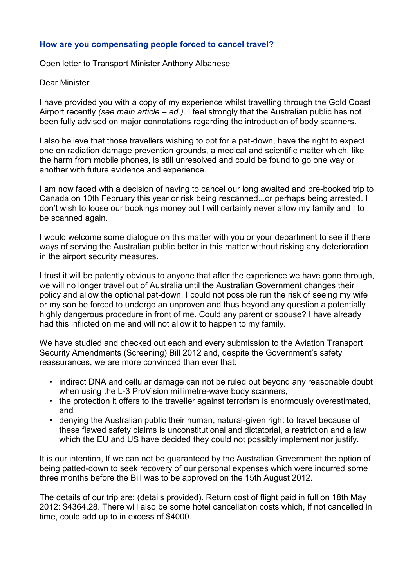## **How are you compensating people forced to cancel travel?**

Open letter to Transport Minister Anthony Albanese

## Dear Minister

I have provided you with a copy of my experience whilst travelling through the Gold Coast Airport recently *(see main article – ed.)*. I feel strongly that the Australian public has not been fully advised on major connotations regarding the introduction of body scanners.

I also believe that those travellers wishing to opt for a pat-down, have the right to expect one on radiation damage prevention grounds, a medical and scientific matter which, like the harm from mobile phones, is still unresolved and could be found to go one way or another with future evidence and experience.

I am now faced with a decision of having to cancel our long awaited and pre-booked trip to Canada on 10th February this year or risk being rescanned...or perhaps being arrested. I don't wish to loose our bookings money but I will certainly never allow my family and I to be scanned again.

I would welcome some dialogue on this matter with you or your department to see if there ways of serving the Australian public better in this matter without risking any deterioration in the airport security measures.

I trust it will be patently obvious to anyone that after the experience we have gone through, we will no longer travel out of Australia until the Australian Government changes their policy and allow the optional pat-down. I could not possible run the risk of seeing my wife or my son be forced to undergo an unproven and thus beyond any question a potentially highly dangerous procedure in front of me. Could any parent or spouse? I have already had this inflicted on me and will not allow it to happen to my family.

We have studied and checked out each and every submission to the Aviation Transport Security Amendments (Screening) Bill 2012 and, despite the Government's safety reassurances, we are more convinced than ever that:

- indirect DNA and cellular damage can not be ruled out beyond any reasonable doubt when using the L-3 ProVision millimetre-wave body scanners,
- the protection it offers to the traveller against terrorism is enormously overestimated, and
- denying the Australian public their human, natural-given right to travel because of these flawed safety claims is unconstitutional and dictatorial, a restriction and a law which the EU and US have decided they could not possibly implement nor justify.

It is our intention, If we can not be guaranteed by the Australian Government the option of being patted-down to seek recovery of our personal expenses which were incurred some three months before the Bill was to be approved on the 15th August 2012.

The details of our trip are: (details provided). Return cost of flight paid in full on 18th May 2012: \$4364.28. There will also be some hotel cancellation costs which, if not cancelled in time, could add up to in excess of \$4000.